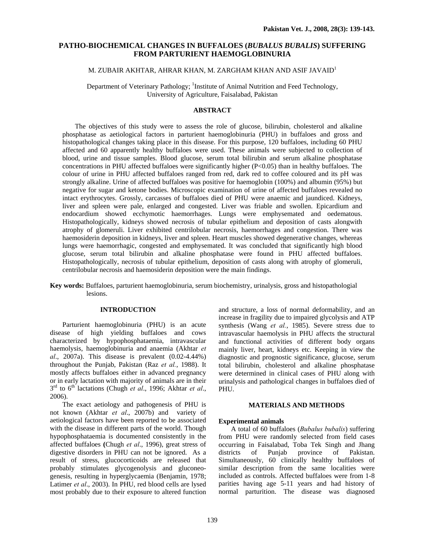# **PATHO-BIOCHEMICAL CHANGES IN BUFFALOES (***BUBALUS BUBALIS***) SUFFERING FROM PARTURIENT HAEMOGLOBINURIA**

## M. ZUBAIR AKHTAR, AHRAR KHAN, M. ZARGHAM KHAN AND ASIF JAVAID<sup>1</sup>

Department of Veterinary Pathology; <sup>1</sup>Institute of Animal Nutrition and Feed Technology, University of Agriculture, Faisalabad, Pakistan

## **ABSTRACT**

The objectives of this study were to assess the role of glucose, bilirubin, cholesterol and alkaline phosphatase as aetiological factors in parturient haemoglobinuria (PHU) in buffaloes and gross and histopathological changes taking place in this disease. For this purpose, 120 buffaloes, including 60 PHU affected and 60 apparently healthy buffaloes were used. These animals were subjected to collection of blood, urine and tissue samples. Blood glucose, serum total bilirubin and serum alkaline phosphatase concentrations in PHU affected buffaloes were significantly higher  $(P<0.05)$  than in healthy buffaloes. The colour of urine in PHU affected buffaloes ranged from red, dark red to coffee coloured and its pH was strongly alkaline. Urine of affected buffaloes was positive for haemoglobin (100%) and albumin (95%) but negative for sugar and ketone bodies. Microscopic examination of urine of affected buffaloes revealed no intact erythrocytes. Grossly, carcasses of buffaloes died of PHU were anaemic and jaundiced. Kidneys, liver and spleen were pale, enlarged and congested. Liver was friable and swollen. Epicardium and endocardium showed ecchymotic haemorrhages. Lungs were emphysemated and oedematous. Histopathologically, kidneys showed necrosis of tubular epithelium and deposition of casts alongwith atrophy of glomeruli. Liver exhibited centrilobular necrosis, haemorrhages and congestion. There was haemosiderin deposition in kidneys, liver and spleen. Heart muscles showed degenerative changes, whereas lungs were haemorrhagic, congested and emphysemated. It was concluded that significantly high blood glucose, serum total bilirubin and alkaline phosphatase were found in PHU affected buffaloes. Histopathologically, necrosis of tubular epithelium, deposition of casts along with atrophy of glomeruli, centrilobular necrosis and haemosiderin deposition were the main findings.

**Key words:** Buffaloes, parturient haemoglobinuria, serum biochemistry, urinalysis, gross and histopathologial lesions.

## **INTRODUCTION**

Parturient haemoglobinuria (PHU) is an acute disease of high yielding buffaloes and cows characterized by hypophosphataemia, intravascular haemolysis, haemoglobinuria and anaemia (Akhtar *et al*., 2007a). This disease is prevalent (0.02-4.44%) throughout the Punjab, Pakistan (Raz *et al.*, 1988). It mostly affects buffaloes either in advanced pregnancy or in early lactation with majority of animals are in their 3rd to 6th lactations (Chugh *et al*., 1996; Akhtar *et al*., 2006).

 The exact aetiology and pathogenesis of PHU is not known (Akhtar *et al*., 2007b) and variety of aetiological factors have been reported to be associated with the disease in different parts of the world. Though hypophosphataemia is documented consistently in the affected buffaloes **(**Chugh *et al*., 1996), great stress of digestive disorders in PHU can not be ignored. As a result of stress, glucocorticoids are released that probably stimulates glycogenolysis and gluconeogenesis, resulting in hyperglycaemia (Benjamin, 1978; Latimer *et al*., 2003). In PHU, red blood cells are lysed most probably due to their exposure to altered function

and structure, a loss of normal deformability, and an increase in fragility due to impaired glycolysis and ATP synthesis (Wang *et al.*, 1985). Severe stress due to intravascular haemolysis in PHU affects the structural and functional activities of different body organs mainly liver, heart, kidneys etc. Keeping in view the diagnostic and prognostic significance, glucose, serum total bilirubin, cholesterol and alkaline phosphatase were determined in clinical cases of PHU along with urinalysis and pathological changes in buffaloes died of PHU.

## **MATERIALS AND METHODS**

#### **Experimental animals**

A total of 60 buffaloes (*Bubalus bubalis*) suffering from PHU were randomly selected from field cases occurring in Faisalabad, Toba Tek Singh and Jhang districts of Punjab province of Pakistan. Simultaneously, 60 clinically healthy buffaloes of similar description from the same localities were included as controls. Affected buffaloes were from 1-8 parities having age 5-11 years and had history of normal parturition. The disease was diagnosed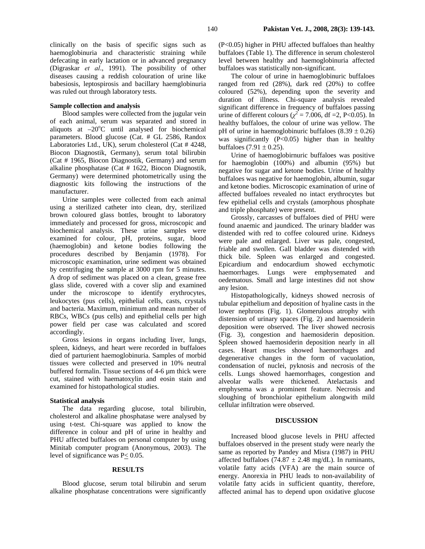clinically on the basis of specific signs such as haemoglobinuria and characteristic straining while defecating in early lactation or in advanced pregnancy (Digraskar *et al*., 1991). The possibility of other diseases causing a reddish colouration of urine like babesiosis, leptospirosis and bacillary haemglobinuria was ruled out through laboratory tests.

### **Sample collection and analysis**

 Blood samples were collected from the jugular vein of each animal, serum was separated and stored in aliquots at  $-20^{\circ}$ C until analysed for biochemical parameters. Blood glucose (Cat. # GL 2586, Randox Laboratories Ltd., UK), serum cholesterol (Cat # 4248, Biocon Diagnostik, Germany), serum total bilirubin (Cat # 1965, Biocon Diagnostik, Germany) and serum alkaline phosphatase (Cat # 1622, Biocon Diagnostik, Germany) were determined photometrically using the diagnostic kits following the instructions of the manufacturer.

 Urine samples were collected from each animal using a sterilized catheter into clean, dry, sterilized brown coloured glass bottles, brought to laboratory immediately and processed for gross, microscopic and biochemical analysis. These urine samples were examined for colour, pH, proteins, sugar, blood (haemoglobin) and ketone bodies following the procedures described by Benjamin (1978). For microscopic examination, urine sediment was obtained by centrifuging the sample at 3000 rpm for 5 minutes. A drop of sediment was placed on a clean, grease free glass slide, covered with a cover slip and examined under the microscope to identify erythrocytes, leukocytes (pus cells), epithelial cells, casts, crystals and bacteria. Maximum, minimum and mean number of RBCs, WBCs (pus cells) and epithelial cells per high power field per case was calculated and scored accordingly.

 Gross lesions in organs including liver, lungs, spleen, kidneys, and heart were recorded in buffaloes died of parturient haemoglobinuria. Samples of morbid tissues were collected and preserved in 10% neutral buffered formalin. Tissue sections of 4-6 µm thick were cut, stained with haematoxylin and eosin stain and examined for histopathological studies.

#### **Statistical analysis**

 The data regarding glucose, total bilirubin, cholesterol and alkaline phosphatase were analysed by using t-test. Chi-square was applied to know the difference in colour and pH of urine in healthy and PHU affected buffaloes on personal computer by using Minitab computer program (Anonymous, 2003). The level of significance was P< 0.05.

#### **RESULTS**

Blood glucose, serum total bilirubin and serum alkaline phosphatase concentrations were significantly (P<0.05) higher in PHU affected buffaloes than healthy buffaloes (Table 1). The difference in serum cholesterol level between healthy and haemoglobinuria affected buffaloes was statistically non-significant.

The colour of urine in haemoglobinuric buffaloes ranged from red (28%), dark red (20%) to coffee coloured (52%), depending upon the severity and duration of illness. Chi-square analysis revealed significant difference in frequency of buffaloes passing urine of different colours ( $\chi^2$  = 7.006, df = 2, P<0.05). In healthy buffaloes, the colour of urine was yellow. The pH of urine in haemoglobinuric buffaloes  $(8.39 \pm 0.26)$ was significantly  $(P<0.05)$  higher than in healthy buffaloes  $(7.91 \pm 0.25)$ .

Urine of haemoglobirnuric buffaloes was positive for haemoglobin (100%) and albumin (95%) but negative for sugar and ketone bodies. Urine of healthy buffaloes was negative for haemoglobin, albumin, sugar and ketone bodies. Microscopic examination of urine of affected buffaloes revealed no intact erythrocytes but few epithelial cells and crystals (amorphous phosphate and triple phosphate) were present.

Grossly, carcasses of buffaloes died of PHU were found anaemic and jaundiced. The urinary bladder was distended with red to coffee coloured urine. Kidneys were pale and enlarged. Liver was pale, congested, friable and swollen. Gall bladder was distended with thick bile. Spleen was enlarged and congested. Epicardium and endocardium showed ecchymotic haemorrhages. Lungs were emphysemated and oedematous. Small and large intestines did not show any lesion.

Histopathologically, kidneys showed necrosis of tubular epithelium and deposition of hyaline casts in the lower nephrons (Fig. 1). Glomerulous atrophy with distension of urinary spaces (Fig. 2) and haemosiderin deposition were observed. The liver showed necrosis (Fig. 3), congestion and haemosiderin deposition. Spleen showed haemosiderin deposition nearly in all cases. Heart muscles showed haemorrhages and degenerative changes in the form of vacuolation, condensation of nuclei, pyknosis and necrosis of the cells. Lungs showed haemorrhages, congestion and alveolar walls were thickened. Atelactasis and emphysema was a prominent feature. Necrosis and sloughing of bronchiolar epithelium alongwith mild cellular infiltration were observed.

#### **DISCUSSION**

Increased blood glucose levels in PHU affected buffaloes observed in the present study were nearly the same as reported by Pandey and Misra (1987) in PHU affected buffaloes (74.87  $\pm$  2.48 mg/dL). In ruminants, volatile fatty acids (VFA) are the main source of energy. Anorexia in PHU leads to non-availability of volatile fatty acids in sufficient quantity, therefore, affected animal has to depend upon oxidative glucose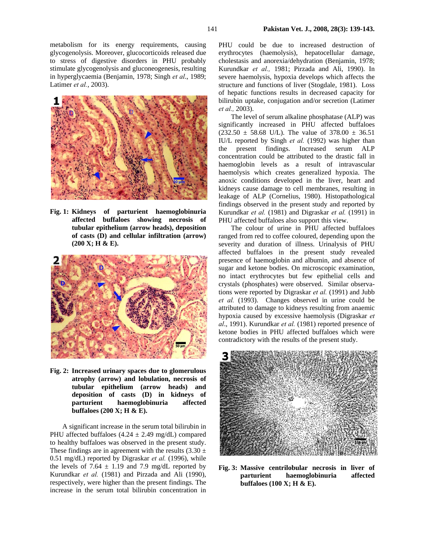metabolism for its energy requirements, causing glycogenolysis. Moreover, glucocorticoids released due to stress of digestive disorders in PHU probably stimulate glycogenolysis and gluconeogenesis, resulting in hyperglycaemia (Benjamin, 1978; Singh *et al*., 1989; Latimer *et al.*, 2003).



**Fig. 1: Kidneys of parturient haemoglobinuria affected buffaloes showing necrosis of tubular epithelium (arrow heads), deposition of casts (D) and cellular infiltration (arrow) (200 X; H & E).** 



**Fig. 2: Increased urinary spaces due to glomerulous atrophy (arrow) and lobulation, necrosis of tubular epithelium (arrow heads) and deposition of casts (D) in kidneys of parturient haemoglobinuria affected buffaloes (200 X; H & E).** 

 A significant increase in the serum total bilirubin in PHU affected buffaloes  $(4.24 \pm 2.49 \text{ mg/dL})$  compared to healthy buffaloes was observed in the present study. These findings are in agreement with the results  $(3.30 \pm$ 0.51 mg/dL) reported by Digraskar *et al.* (1996), while the levels of 7.64  $\pm$  1.19 and 7.9 mg/dL reported by Kurundkar *et al.* (1981) and Pirzada and Ali (1990), respectively, were higher than the present findings. The increase in the serum total bilirubin concentration in

PHU could be due to increased destruction of erythrocytes (haemolysis), hepatocellular damage, cholestasis and anorexia/dehydration (Benjamin, 1978; Kurundkar *et al.,* 1981; Pirzada and Ali, 1990). In severe haemolysis, hypoxia develops which affects the structure and functions of liver (Stogdale, 1981). Loss of hepatic functions results in decreased capacity for bilirubin uptake, conjugation and/or secretion (Latimer *et al.,* 2003).

 The level of serum alkaline phosphatase (ALP) was significantly increased in PHU affected buffaloes  $(232.50 \pm 58.68 \text{ U/L})$ . The value of 378.00  $\pm$  36.51 IU/L reported by Singh *et al.* (1992) was higher than the present findings. Increased serum ALP concentration could be attributed to the drastic fall in haemoglobin levels as a result of intravascular haemolysis which creates generalized hypoxia. The anoxic conditions developed in the liver, heart and kidneys cause damage to cell membranes, resulting in leakage of ALP (Cornelius, 1980). Histopathological findings observed in the present study and reported by Kurundkar *et al.* (1981) and Digraskar *et al.* (1991) in PHU affected buffaloes also support this view.

 The colour of urine in PHU affected buffaloes ranged from red to coffee coloured, depending upon the severity and duration of illness. Urinalysis of PHU affected buffaloes in the present study revealed presence of haemoglobin and albumin, and absence of sugar and ketone bodies. On microscopic examination, no intact erythrocytes but few epithelial cells and crystals (phosphates) were observed. Similar observations were reported by Digraskar *et al.* (1991) and Jubb *et al.* (1993). Changes observed in urine could be attributed to damage to kidneys resulting from anaemic hypoxia caused by excessive haemolysis (Digraskar *et al*., 1991). Kurundkar *et al.* (1981) reported presence of ketone bodies in PHU affected buffaloes which were contradictory with the results of the present study.



**Fig. 3: Massive centrilobular necrosis in liver of parturient haemoglobinuria affected buffaloes (100 X; H & E).**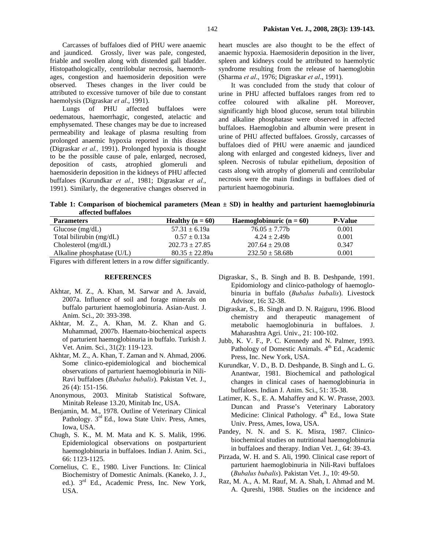Carcasses of buffaloes died of PHU were anaemic and jaundiced. Grossly, liver was pale, congested, friable and swollen along with distended gall bladder. Histopathologically, centrilobular necrosis, haemorrhages, congestion and haemosiderin deposition were observed. Theses changes in the liver could be attributed to excessive turnover of bile due to constant haemolysis (Digraskar *et al*., 1991).

Lungs of PHU affected buffaloes were oedematous, haemorrhagic, congested, atelactic and emphysemated. These changes may be due to increased permeability and leakage of plasma resulting from prolonged anaemic hypoxia reported in this disease (Digraskar *et al.,* 1991). Prolonged hypoxia is thought to be the possible cause of pale, enlarged, necrosed, deposition of casts, atrophied glomeruli and haemosiderin deposition in the kidneys of PHU affected buffaloes (Kurundkar *et al.*, 1981; Digraskar *et al.*, 1991). Similarly, the degenerative changes observed in

heart muscles are also thought to be the effect of anaemic hypoxia. Haemosiderin deposition in the liver, spleen and kidneys could be attributed to haemolytic syndrome resulting from the release of haemoglobin (Sharma *et al*., 1976; Digraskar *et al*., 1991).

It was concluded from the study that colour of urine in PHU affected buffaloes ranges from red to coffee coloured with alkaline pH. Moreover, significantly high blood glucose, serum total bilirubin and alkaline phosphatase were observed in affected buffaloes. Haemoglobin and albumin were present in urine of PHU affected buffaloes. Grossly, carcasses of buffaloes died of PHU were anaemic and jaundiced along with enlarged and congested kidneys, liver and spleen. Necrosis of tubular epithelium, deposition of casts along with atrophy of glomeruli and centrilobular necrosis were the main findings in buffaloes died of parturient haemogobinuria.

**Table 1: Comparison of biochemical parameters (Mean ± SD) in healthy and parturient haemoglobinuria affected buffaloes** 

| <b>Parameters</b>            | Healthy $(n = 60)$ | Haemoglobinuric $(n = 60)$ | <b>P-Value</b> |
|------------------------------|--------------------|----------------------------|----------------|
| Glucose $(mg/dL)$            | $57.31 \pm 6.19a$  | $76.05 \pm 7.77$ b         | 0.001          |
| Total bilirubin $(mg/dL)$    | $0.57 \pm 0.13a$   | $4.24 \pm 2.49$            | 0.001          |
| Cholesterol $(mg/dL)$        | $202.73 + 27.85$   | $207.64 \pm 29.08$         | 0.347          |
| Alkaline phosphatase $(U/L)$ | $80.35 + 22.89a$   | $232.50 \pm 58.68$         | 0.001          |

Figures with different letters in a row differ significantly.

### **REFERENCES**

- Akhtar, M. Z., A. Khan, M. Sarwar and A. Javaid, 2007a. Influence of soil and forage minerals on buffalo parturient haemoglobinuria. Asian-Aust. J. Anim. Sci., 20: 393-398.
- Akhtar, M. Z., A. Khan, M. Z. Khan and G. Muhammad, 2007b. Haemato-biochemical aspects of parturient haemoglobinuria in buffalo. Turkish J. Vet. Anim. Sci., 31(2): 119-123.
- Akhtar, M. Z., A. Khan, T. Zaman and N. Ahmad, 2006. Some clinico-epidemiological and biochemical observations of parturient haemoglobinuria in Nili-Ravi buffaloes (*Bubalus bubalis*). Pakistan Vet. J., 26 (4): 151-156.
- Anonymous, 2003. Minitab Statistical Software, Minitab Release 13.20, Minitab Inc, USA.
- Benjamin, M. M., 1978. Outline of Veterinary Clinical Pathology. 3<sup>rd</sup> Ed., Iowa State Univ. Press, Ames, Iowa, USA.
- Chugh, S. K., M. M. Mata and K. S. Malik, 1996. Epidemiological observations on postparturient haemoglobinuria in buffaloes. Indian J. Anim. Sci., 66: 1123-1125.
- Cornelius, C. E., 1980. Liver Functions. In: Clinical Biochemistry of Domestic Animals. (Kaneko, J. J., ed.). 3<sup>rd</sup> Ed., Academic Press, Inc. New York, USA.
- Digraskar, S., B. Singh and B. B. Deshpande, 1991. Epidomiology and clinico-pathology of haemoglobinuria in buffalo (*Bubalus bubalis*). Livestock Advisor, 16**:** 32-38.
- Digraskar, S., B. Singh and D. N. Rajguru, 1996. Blood chemistry and therapeutic management of metabolic haemoglobinuria in buffaloes. J. Maharashtra Agri. Univ., 21: 100-102.
- Jubb, K. V. F., P. C. Kennedy and N. Palmer, 1993. Pathology of Domestic Animals. 4<sup>th</sup> Ed., Academic Press, Inc. New York, USA.
- Kurundkar, V. D., B. D. Deshpande, B. Singh and L. G. Anantwar, 1981. Biochemical and pathological changes in clinical cases of haemoglobinuria in buffaloes. Indian J. Anim. Sci., 51: 35-38.
- Latimer, K. S., E. A. Mahaffey and K. W. Prasse, 2003. Duncan and Prasse's Veterinary Laboratory Medicine: Clinical Pathology.  $4<sup>th</sup>$  Ed., Iowa State Univ. Press, Ames, Iowa, USA.
- Pandey, N. N. and S. K. Misra, 1987. Clinicobiochemical studies on nutritional haemoglobinuria in buffaloes and therapy. Indian Vet. J., 64: 39-43.
- Pirzada, W. H. and S. Ali, 1990. Clinical case report of parturient haemoglobinuria in Nili-Ravi buffaloes (*Bubalus bubalis*). Pakistan Vet. J., 10: 49-50.
- Raz, M. A., A. M. Rauf, M. A. Shah, I. Ahmad and M. A. Qureshi, 1988. Studies on the incidence and